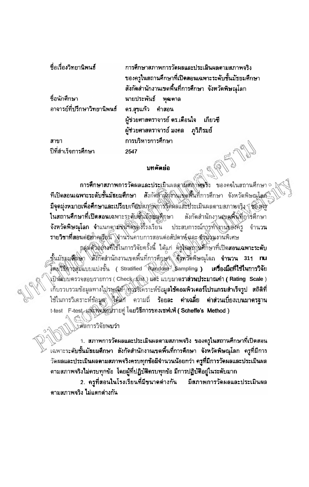| ชื่อเรื่องวิทยานิพนธ์                                        | การศึกษาสภาพการวัดผลและประเมินผลตามสภาพจริง<br>ของครูในสถานศึกษาที่เปิดสอนเฉพาะระดับชั้นมัธยมศึกษา<br>สังกัดสำนักงานเขตพื้นที่การศึกษา จังหวัดพิษณุโลก |
|--------------------------------------------------------------|--------------------------------------------------------------------------------------------------------------------------------------------------------|
| ชื่อนักศึกษา<br>อาจารย์ที่ปรึกษาวิทยานิพนธ์ ดร.สุขแก้ว คำสอน | นายประพันธ์ พุฒตาล                                                                                                                                     |
|                                                              | ผู้ช่วยศาสตราจารย์ ดร.เดือนใจ เกี่ยวซึ<br>ผู้ช่วยศาสตราจารย์ มงคล   ภูวิภิรมย์                                                                         |
| สาขา                                                         | การบริหารการศึกษา                                                                                                                                      |
| ปีที่สำเร็จการศึกษา                                          | 2547                                                                                                                                                   |

## บทคัดย่อ

การศึกษาสภาพการวัดผลและประเมินผลตามีสมาพิชริง ของครในสถานศึกษา ที่เปิดสอนเฉพาะระดับชั้นมัธยมศึกษา สังกัดด้างถึงในปุดพื้นที่การศึกษา จังหวัดพิษณุโลส์ มีจุดมุ่งหมายเพื่อศึกษาและเปรียบเทียบส*ิทฐา*พิการจัดผลและประเมินผลตามสภาพจริง ซื้อ*ง*ครั ในสถานศึกษาที่เปิดสอนเฉพาะระดับซั้นมัธยะศึกษา สังกัดสำนักงานสูงสูงมีมิวิวรศึกษา จังหวัดพิษณุโลก จำแนกดามพินาดพิธงโรงเรียน ประสบการณ์การทำงานของครู ึ่งำนวน รายวิชาที่สอนต่อมาคเรือน โจ้านวินคาบการสอนต่อสัปดาห์ และ ขังแวนงานพิเศษ

กลุ่มด้วิอุยุจะที่ใช้ในการวิจัยครั้งนี้ ได้แก่ คิจูในสถานศึกษาที่เปิดสอนเฉพาะระดับ ทั้นมัธยมศึกษา สมักัดสำนักงานเขตพื้นที่การคึกษา อึงหวัดพิษณุโลก จำนวน 311 nu โดยวิธีดาวสุมแบบแบ่งชั้น (Stratified Random Sampling ) เครื่องมือที่ใช้ในการวิจัย งป็นนิบบตรวจสอบรายการ (Check (เริง) และ แบบมาตราส่วนประมาณคำ (Rating Scale) เก็บรวบรวมข้อมูลทางไปรษณ์ยั<sup>5</sup> ตัวรวิจัคราะห์ข้อมูล**ใช้คอมพิวเดอร์โปรแกรมสำเร็จรูป สถิติที่** ใช้ในการวิเคราะห์ข้อมูล ใช้นัก ความถี่ ร้อยละ ค่าเฉลี่ย ค่าส่วนเบี่ยงเบนมาตรฐาน t-test F-test และทดสัยน์รายคู่ โดยวิธีการของเซฟเฟ่ ( Scheffe's Method )

งศัลการวิจัยพบว่า

1. สภาพการวัดผลและประเมินผลตามสภาพจริง ของครูในสถานศึกษาที่เปิดสอน ้เฉพาะระดับชั้นมัธยมศึกษา สังกัดสำนักงานเขตพื้นที่การศึกษา จังหวัดพิษณุโลก ครูที่มีการ ์วัดผลและประเมินผลตามสภาพจริงครบทุกข้อมีจำนวนน้อยกว่า ค**รูที่มี**การวัดผลและประเมินผล ดามสภาพจริงไม่ครบทุกข้อ โดยผู้ที่ปฏิบัติครบทุกข้อ มีการปฏิบัติอยู่ในระดับมาก

2. ครูที่สอนในโรงเรียนที่มีขนาดต่างกัน มีสภาพการวัดผลและประเมินผล ดามสภาพจริง ไม่แตกต่างกัน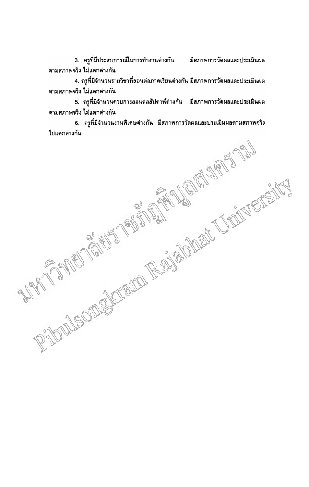3. ครูที่มีประสบการณ์ในการทำงานต่างกัน มีสภาพการวัดผลและประเมินผล ตามสภาพจริง ไม่แตกต่างกัน

่ 4. ครูที่มีจำนวนรายวิชาที่สอนต่อภาคเรียนต่างกัน มีสภาพการวัดผลและประเมินผล ดามสภาพจริง ไม่แดกค่างกัน

5. ครูที่มีจำนวนคาบการสอนต่อสัปดาห์ต่างกัน มีสภาพการวัดผลและประเมินผล ตามสภาพจริง ไม่แตกต่างกัน

RADULEONS STRACTS RESIDENCE UNDERFORM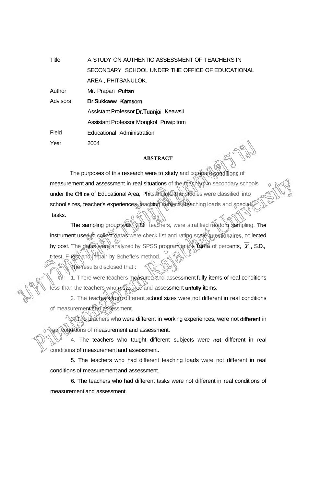| Title           | A STUDY ON AUTHENTIC ASSESSMENT OF TEACHERS IN   |
|-----------------|--------------------------------------------------|
|                 | SECONDARY SCHOOL UNDER THE OFFICE OF EDUCATIONAL |
|                 | AREA, PHITSANULOK.                               |
| Author          | Mr. Prapan Puttan                                |
| <b>Advisors</b> | Dr.Sukkaew Kamsorn                               |
|                 | Assistant Professor Dr. Tuanjai Keawsii          |
|                 | Assistant Professor Mongkol Puwipitom            |
| Field           | Educational Administration                       |
| Year            | 2004                                             |

## **ABSTRACT**

The purposes of this research were to study and compare conditions of measurement and assessment in real situations of the teachers in secondary schools under the **Office** of Educational Area, Phitsanulok. The studies were classified into school sizes, teacher's experiences, teaching subjects, teaching loads and special tasks.

The sampling group was 314 teachers, were stratified random sampling. The instrument used to collect datas were check list and rating scale questionaires, collected by post. The datas were analyzed by SPSS program in the **forms** of percents,  $\overline{X}$ , S.D., t-test, F-test and in pair **by** Scheffe's method.

The results disclosed that :

1. There were teachers measured and assessment fully items of real conditions less than the teachers who measured and assessment unfully items.

2. The **teachers** from different school sizes were not different in real conditions of measurement and assessment.

3. The teachers who were different in working experiences, were not different in *Areal conditions of measurement and assessment.* 

4. The teachers who taught different subjects were not different in real conditions of measurement and assessment.

5. The teachers who had different teaching loads were not different in real conditions of measurement and assessment.

6. The teachers who had different tasks were not different in real conditions of measurement and assessment.